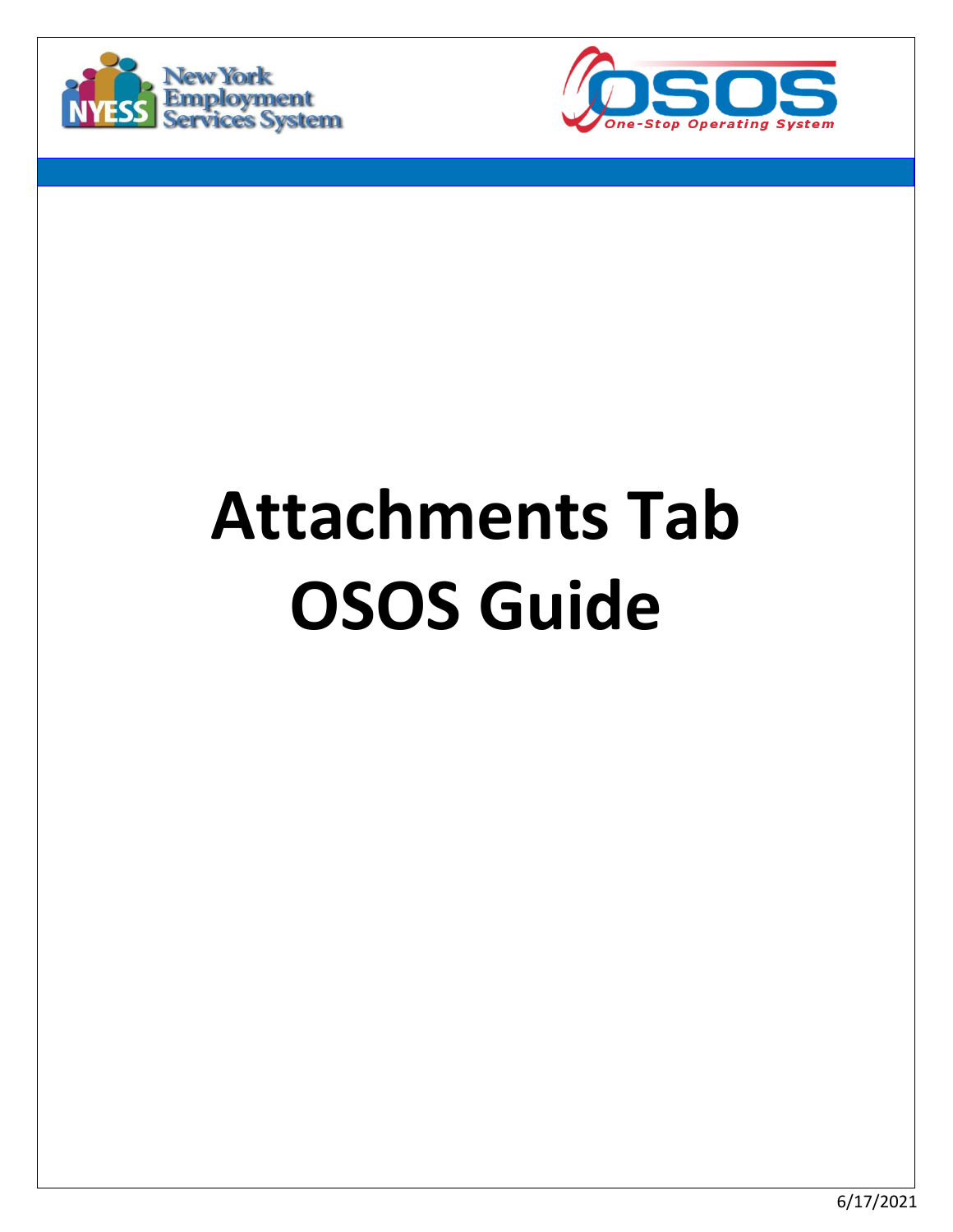



# **Attachments Tab OSOS Guide**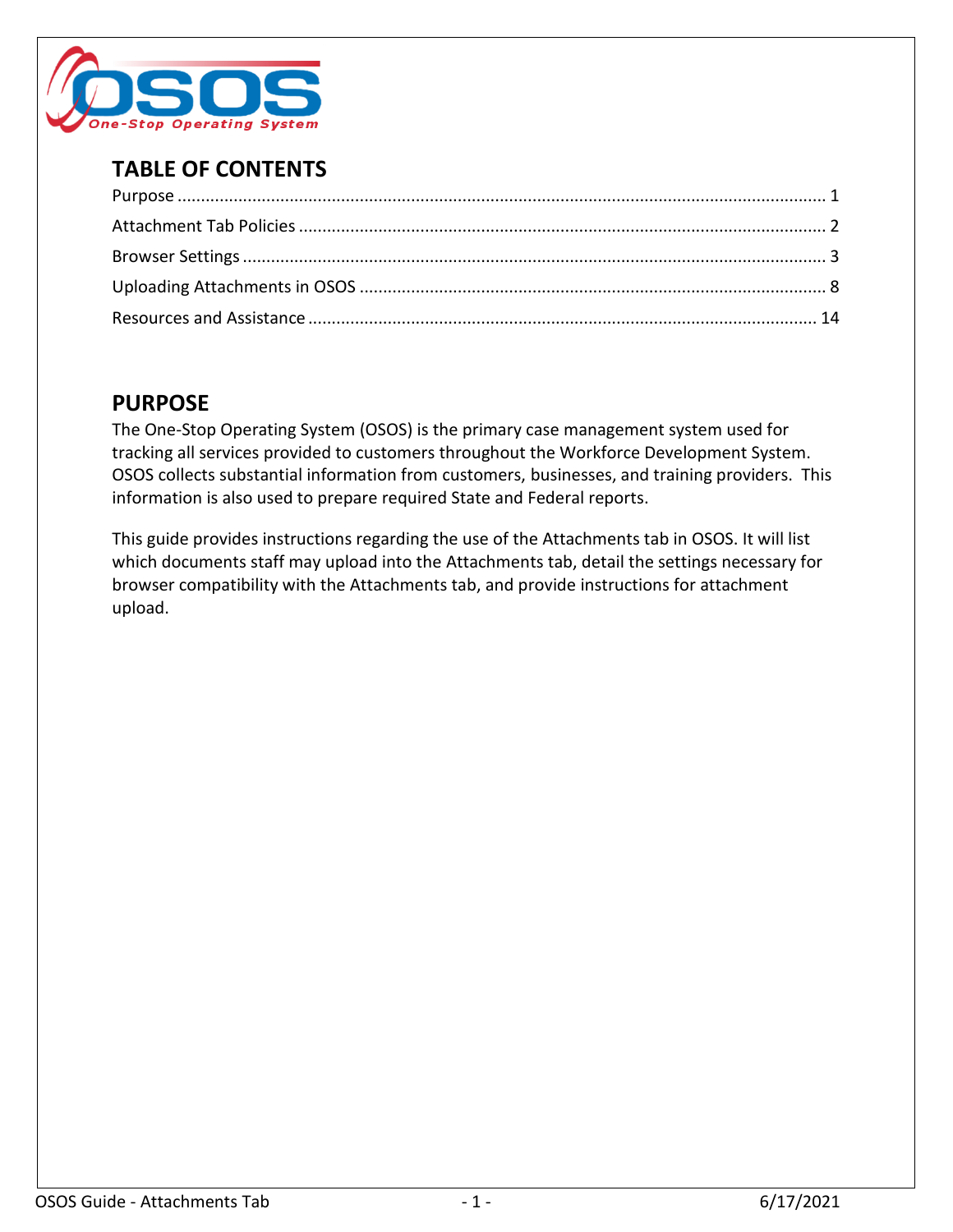

# **TABLE OF CONTENTS**

# <span id="page-1-0"></span>**PURPOSE**

The One-Stop Operating System (OSOS) is the primary case management system used for tracking all services provided to customers throughout the Workforce Development System. OSOS collects substantial information from customers, businesses, and training providers. This information is also used to prepare required State and Federal reports.

This guide provides instructions regarding the use of the Attachments tab in OSOS. It will list which documents staff may upload into the Attachments tab, detail the settings necessary for browser compatibility with the Attachments tab, and provide instructions for attachment upload.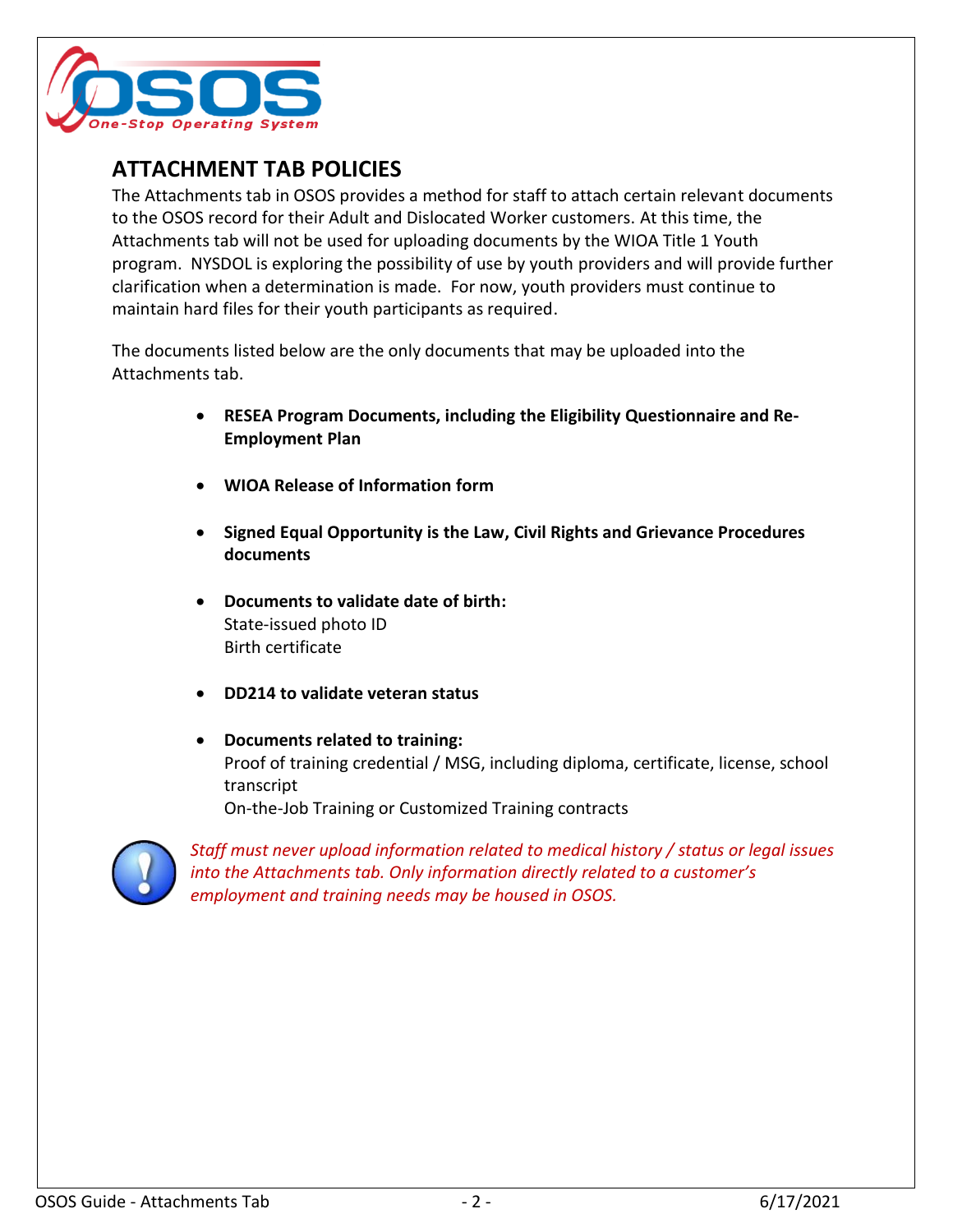

## <span id="page-2-0"></span>**ATTACHMENT TAB POLICIES**

The Attachments tab in OSOS provides a method for staff to attach certain relevant documents to the OSOS record for their Adult and Dislocated Worker customers. At this time, the Attachments tab will not be used for uploading documents by the WIOA Title 1 Youth program. NYSDOL is exploring the possibility of use by youth providers and will provide further clarification when a determination is made. For now, youth providers must continue to maintain hard files for their youth participants as required.

The documents listed below are the only documents that may be uploaded into the Attachments tab.

- **RESEA Program Documents, including the Eligibility Questionnaire and Re-Employment Plan**
- **WIOA Release of Information form**
- **Signed Equal Opportunity is the Law, Civil Rights and Grievance Procedures documents**
- **Documents to validate date of birth:** State-issued photo ID Birth certificate
- **DD214 to validate veteran status**
- **Documents related to training:** Proof of training credential / MSG, including diploma, certificate, license, school transcript On-the-Job Training or Customized Training contracts

*Staff must never upload information related to medical history / status or legal issues into the Attachments tab. Only information directly related to a customer's employment and training needs may be housed in OSOS.*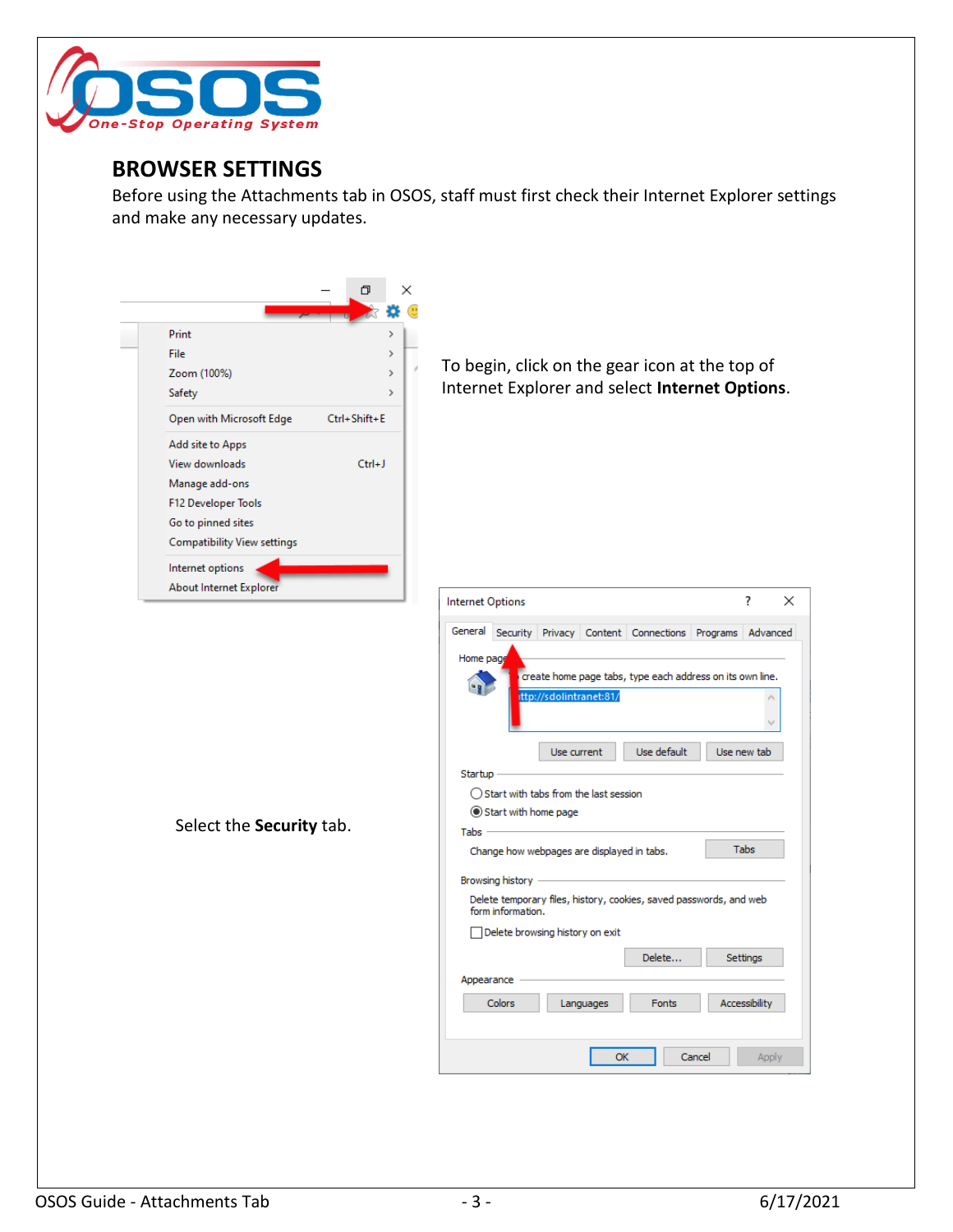

#### <span id="page-3-0"></span>**BROWSER SETTINGS**

Before using the Attachments tab in OSOS, staff must first check their Internet Explorer settings and make any necessary updates.

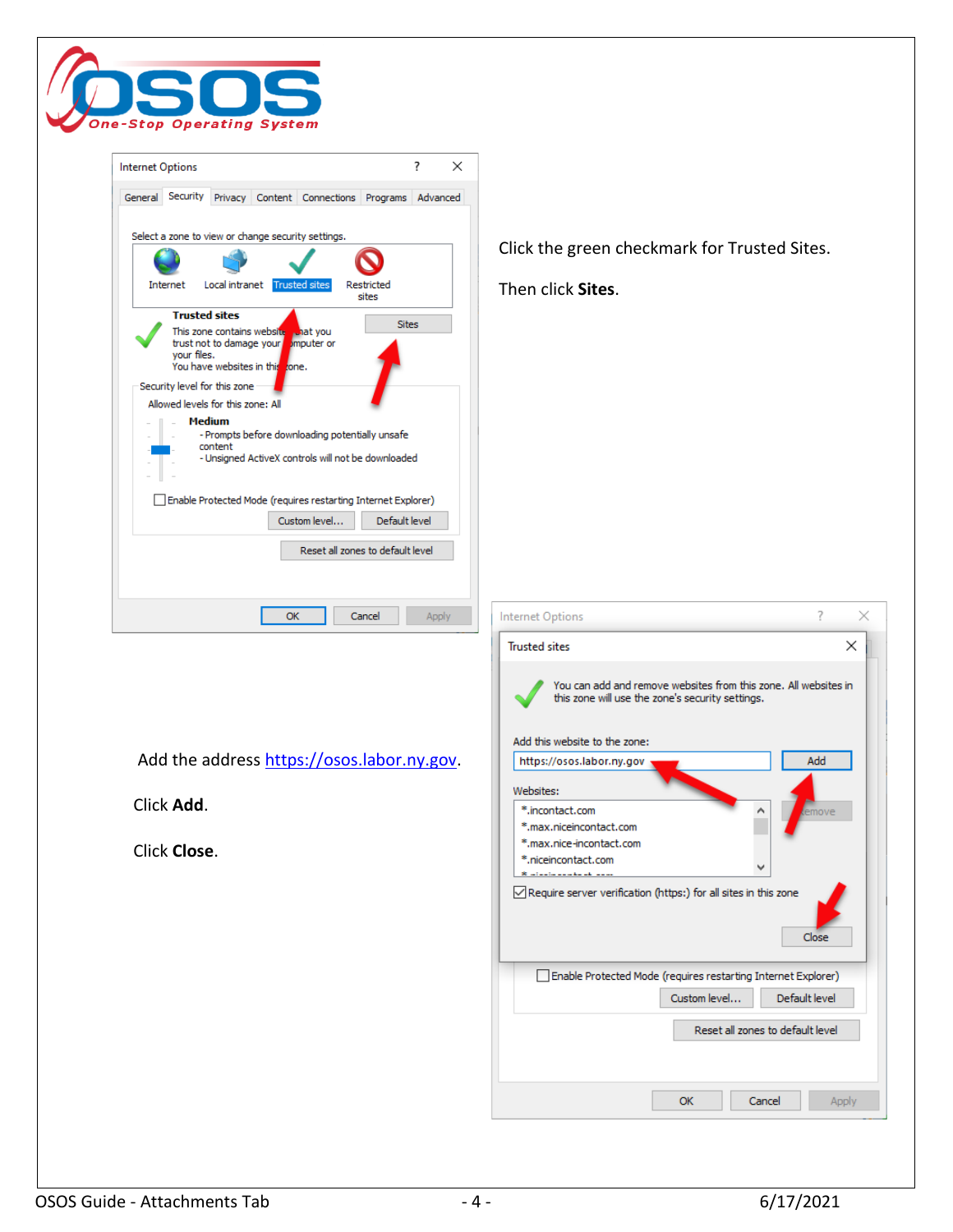

| ?<br>$\times$<br><b>Internet Options</b>                                                                                                                                                                                                                                                                                                                                                                                                                                                                                                                                                                                                               |                                                                                                                                                                                                                                                                    |
|--------------------------------------------------------------------------------------------------------------------------------------------------------------------------------------------------------------------------------------------------------------------------------------------------------------------------------------------------------------------------------------------------------------------------------------------------------------------------------------------------------------------------------------------------------------------------------------------------------------------------------------------------------|--------------------------------------------------------------------------------------------------------------------------------------------------------------------------------------------------------------------------------------------------------------------|
| General Security Privacy Content Connections Programs Advanced                                                                                                                                                                                                                                                                                                                                                                                                                                                                                                                                                                                         |                                                                                                                                                                                                                                                                    |
| Select a zone to view or change security settings.<br>Local intranet<br><b>Trusted sites</b><br>Internet<br>Restricted<br>sites<br><b>Trusted sites</b><br><b>Sites</b><br>This zone contains website what you<br>trust not to damage your mputer or<br>your files.<br>You have websites in this zone.<br>Security level for this zone<br>Allowed levels for this zone: All<br><b>Medium</b><br>- Prompts before downloading potentially unsafe<br>content<br>- Unsigned ActiveX controls will not be downloaded<br>Enable Protected Mode (requires restarting Internet Explorer)<br>Default level<br>Custom level<br>Reset all zones to default level | Click the green checkmark for Trusted Sites.<br>Then click Sites.                                                                                                                                                                                                  |
| <b>OK</b><br>Cancel<br><b>Apply</b>                                                                                                                                                                                                                                                                                                                                                                                                                                                                                                                                                                                                                    | ?<br><b>Internet Options</b><br>×<br>$\times$<br><b>Trusted sites</b><br>You can add and remove websites from this zone. All websites in<br>this zone will use the zone's security settings.                                                                       |
| Add the address https://osos.labor.ny.gov.<br>Click Add.<br>Click Close.                                                                                                                                                                                                                                                                                                                                                                                                                                                                                                                                                                               | Add this website to the zone:<br>Add<br>https://osos.labor.ny.gov<br>Websites:<br>*.incontact.com<br>emove<br>*.max.niceincontact.com<br>*.max.nice-incontact.com<br>*.niceincontact.com<br>v<br>○ Require server verification (https:) for all sites in this zone |
|                                                                                                                                                                                                                                                                                                                                                                                                                                                                                                                                                                                                                                                        | Close<br>Enable Protected Mode (requires restarting Internet Explorer)<br>Custom level<br>Default level<br>Reset all zones to default level<br>ОК<br>Cancel<br>Apply                                                                                               |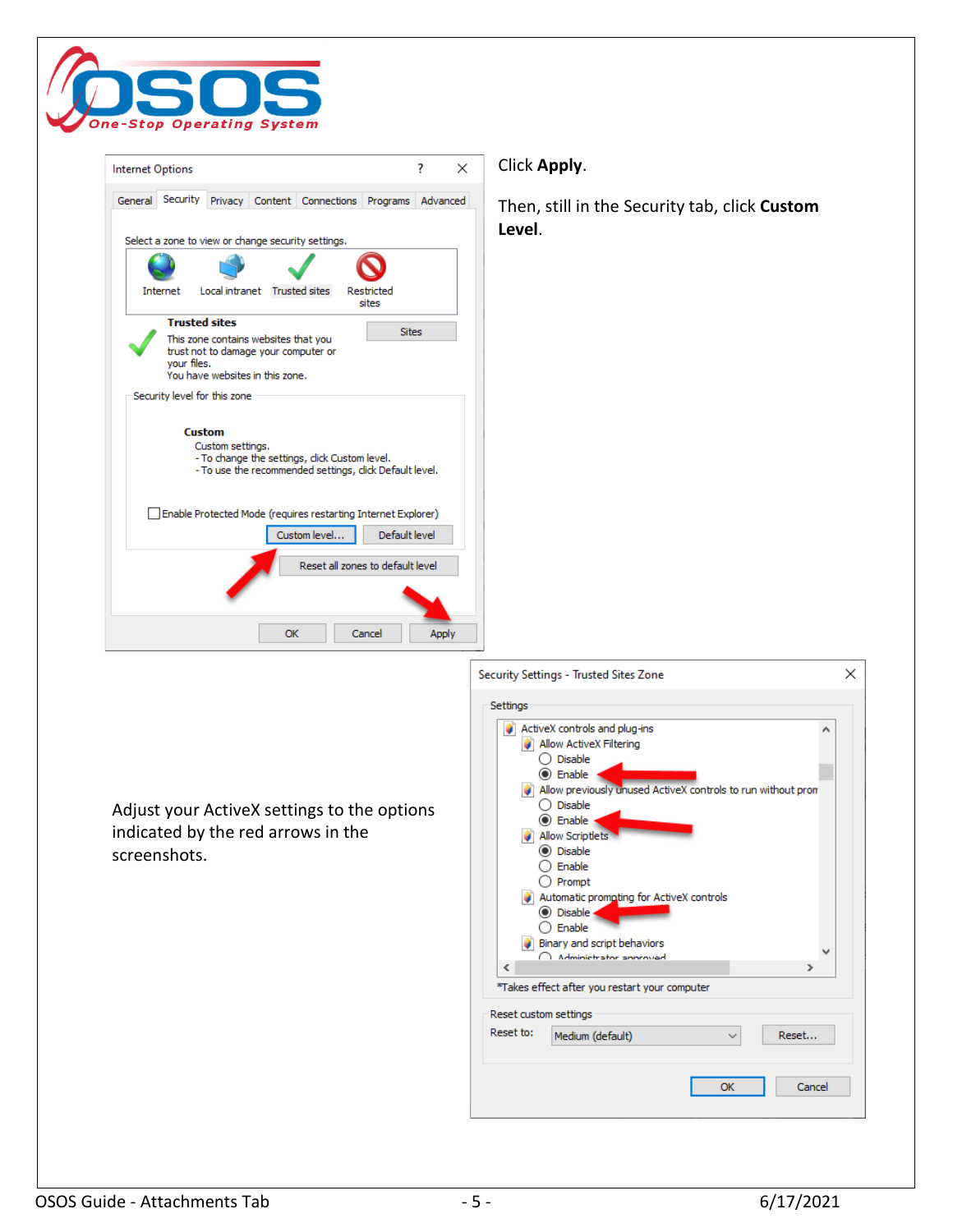

| ?<br>×<br><b>Internet Options</b>                                                                                                             | Click Apply.                                                                            |
|-----------------------------------------------------------------------------------------------------------------------------------------------|-----------------------------------------------------------------------------------------|
| General Security<br>Privacy Content Connections Programs Advanced<br>Select a zone to view or change security settings.                       | Then, still in the Security tab, click Custom<br>Level.                                 |
| Local intranet Trusted sites<br>Restricted<br>Internet<br>sites<br><b>Trusted sites</b><br><b>Sites</b>                                       |                                                                                         |
| This zone contains websites that you<br>trust not to damage your computer or<br>your files.<br>You have websites in this zone.                |                                                                                         |
| Security level for this zone                                                                                                                  |                                                                                         |
| <b>Custom</b><br>Custom settings.<br>- To change the settings, click Custom level.<br>- To use the recommended settings, click Default level. |                                                                                         |
| Enable Protected Mode (requires restarting Internet Explorer)<br>Default level<br>Custom level                                                |                                                                                         |
| Reset all zones to default level                                                                                                              |                                                                                         |
| OK<br>Cancel<br>Apply                                                                                                                         |                                                                                         |
|                                                                                                                                               | ×<br>Security Settings - Trusted Sites Zone                                             |
|                                                                                                                                               | Settings                                                                                |
|                                                                                                                                               | ActiveX controls and plug-ins<br>v.<br>Allow ActiveX Filtering<br>◯ Disable<br>◉ Enable |
|                                                                                                                                               | Allow previously unused ActiveX controls to run without prom                            |
| Adjust your ActiveX settings to the options                                                                                                   | ◯ Disable<br>◉ Enable                                                                   |
| indicated by the red arrows in the<br>screenshots.                                                                                            | Allow Scriptlets<br>● Disable                                                           |
|                                                                                                                                               | $\bigcirc$ Enable<br>$\bigcirc$ Prompt                                                  |
|                                                                                                                                               | Automatic prompting for ActiveX controls<br><b>◎</b> Disable                            |
|                                                                                                                                               | $\bigcirc$ Enable                                                                       |
|                                                                                                                                               | Binary and script behaviors<br>Administrator announad<br>$\overline{\phantom{a}}$<br>Y. |
|                                                                                                                                               | *Takes effect after you restart your computer                                           |
|                                                                                                                                               | Reset custom settings                                                                   |
|                                                                                                                                               | Reset to:<br>Medium (default)<br>Reset<br>v                                             |
|                                                                                                                                               | Cancel<br><b>OK</b>                                                                     |
|                                                                                                                                               |                                                                                         |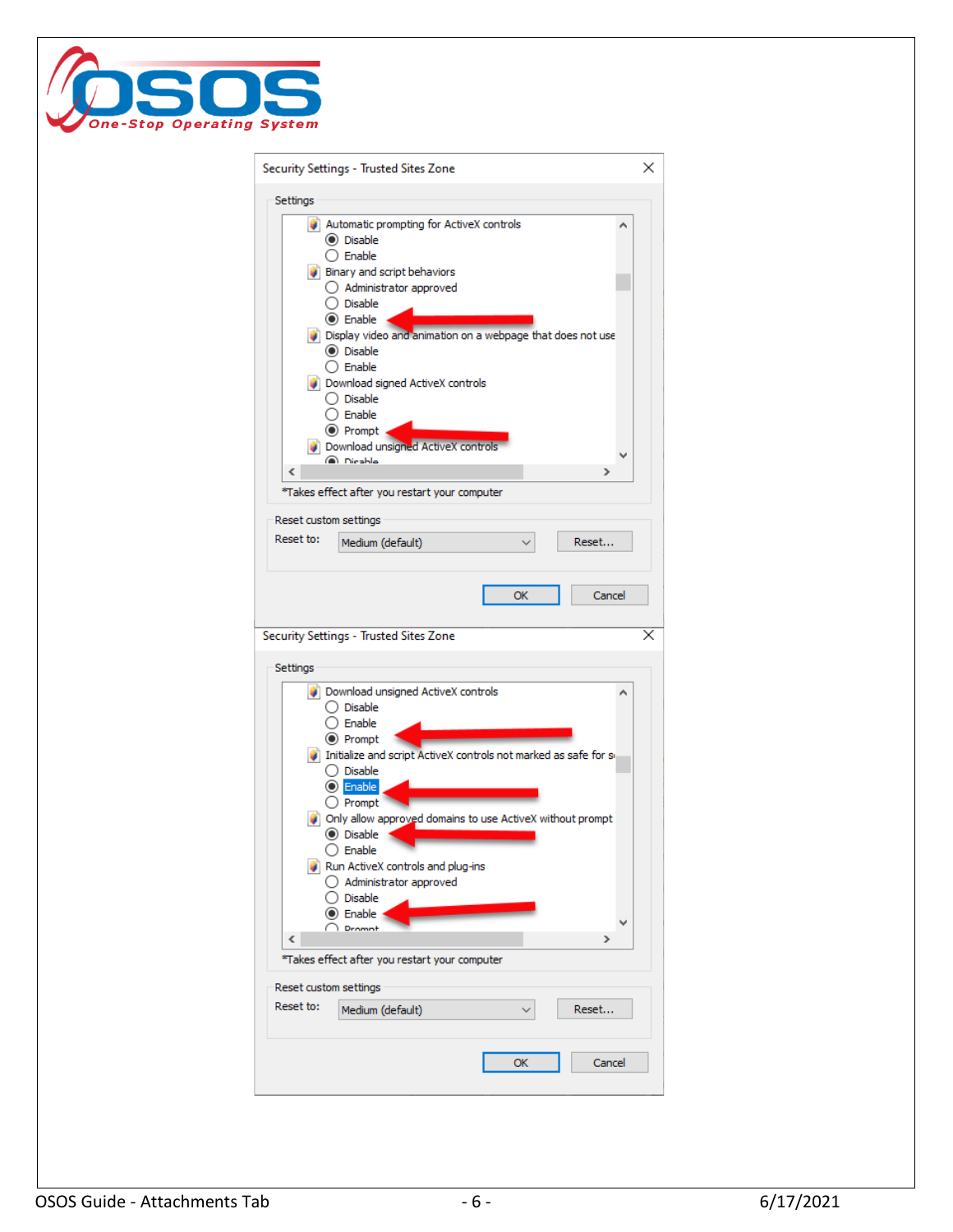

| Security Settings - Trusted Sites Zone<br>×<br>Settings<br>Automatic prompting for ActiveX controls<br>(C) Disable<br>$\bigcap$ Enable<br>Binary and script behaviors<br>◯ Administrator approved<br>◯ Disable<br>◉ Enable<br>Display video and animation on a webpage that does not use<br>(C) Disable<br>◯ Enable<br>Download signed ActiveX controls<br>() Disable<br>◯ Enable<br>◉ Prompt<br>Download unsigned ActiveX controls<br>nicable<br>∢<br>≯<br>*Takes effect after you restart your computer<br>Reset custom settings<br>Reset to:<br>Reset<br>Medium (default)<br>OK<br>Cancel<br>Security Settings - Trusted Sites Zone<br>×<br>Settings<br>Download unsigned ActiveX controls<br>◯ Disable<br>) Enable<br>◉ Prompt<br>Initialize and script ActiveX controls not marked as safe for set<br>◯ Disable<br>O Enable<br>$\bigcirc$ Prompt<br>Only allow approved domains to use ActiveX without prompt<br>(C) Disable<br>$\bigcirc$ Enable<br>Run ActiveX controls and plug-ins<br>$\bigcirc$ Administrator approved<br>Disable<br>(*) Enable<br>Dramnt<br>Y.<br>∢<br>*Takes effect after you restart your computer<br>Reset custom settings<br>Reset to:<br>Reset<br>Medium (default)<br>ОК<br>Cancel |  |
|--------------------------------------------------------------------------------------------------------------------------------------------------------------------------------------------------------------------------------------------------------------------------------------------------------------------------------------------------------------------------------------------------------------------------------------------------------------------------------------------------------------------------------------------------------------------------------------------------------------------------------------------------------------------------------------------------------------------------------------------------------------------------------------------------------------------------------------------------------------------------------------------------------------------------------------------------------------------------------------------------------------------------------------------------------------------------------------------------------------------------------------------------------------------------------------------------------------------|--|
|                                                                                                                                                                                                                                                                                                                                                                                                                                                                                                                                                                                                                                                                                                                                                                                                                                                                                                                                                                                                                                                                                                                                                                                                                    |  |
|                                                                                                                                                                                                                                                                                                                                                                                                                                                                                                                                                                                                                                                                                                                                                                                                                                                                                                                                                                                                                                                                                                                                                                                                                    |  |
|                                                                                                                                                                                                                                                                                                                                                                                                                                                                                                                                                                                                                                                                                                                                                                                                                                                                                                                                                                                                                                                                                                                                                                                                                    |  |
|                                                                                                                                                                                                                                                                                                                                                                                                                                                                                                                                                                                                                                                                                                                                                                                                                                                                                                                                                                                                                                                                                                                                                                                                                    |  |
|                                                                                                                                                                                                                                                                                                                                                                                                                                                                                                                                                                                                                                                                                                                                                                                                                                                                                                                                                                                                                                                                                                                                                                                                                    |  |
|                                                                                                                                                                                                                                                                                                                                                                                                                                                                                                                                                                                                                                                                                                                                                                                                                                                                                                                                                                                                                                                                                                                                                                                                                    |  |
|                                                                                                                                                                                                                                                                                                                                                                                                                                                                                                                                                                                                                                                                                                                                                                                                                                                                                                                                                                                                                                                                                                                                                                                                                    |  |
|                                                                                                                                                                                                                                                                                                                                                                                                                                                                                                                                                                                                                                                                                                                                                                                                                                                                                                                                                                                                                                                                                                                                                                                                                    |  |
|                                                                                                                                                                                                                                                                                                                                                                                                                                                                                                                                                                                                                                                                                                                                                                                                                                                                                                                                                                                                                                                                                                                                                                                                                    |  |
|                                                                                                                                                                                                                                                                                                                                                                                                                                                                                                                                                                                                                                                                                                                                                                                                                                                                                                                                                                                                                                                                                                                                                                                                                    |  |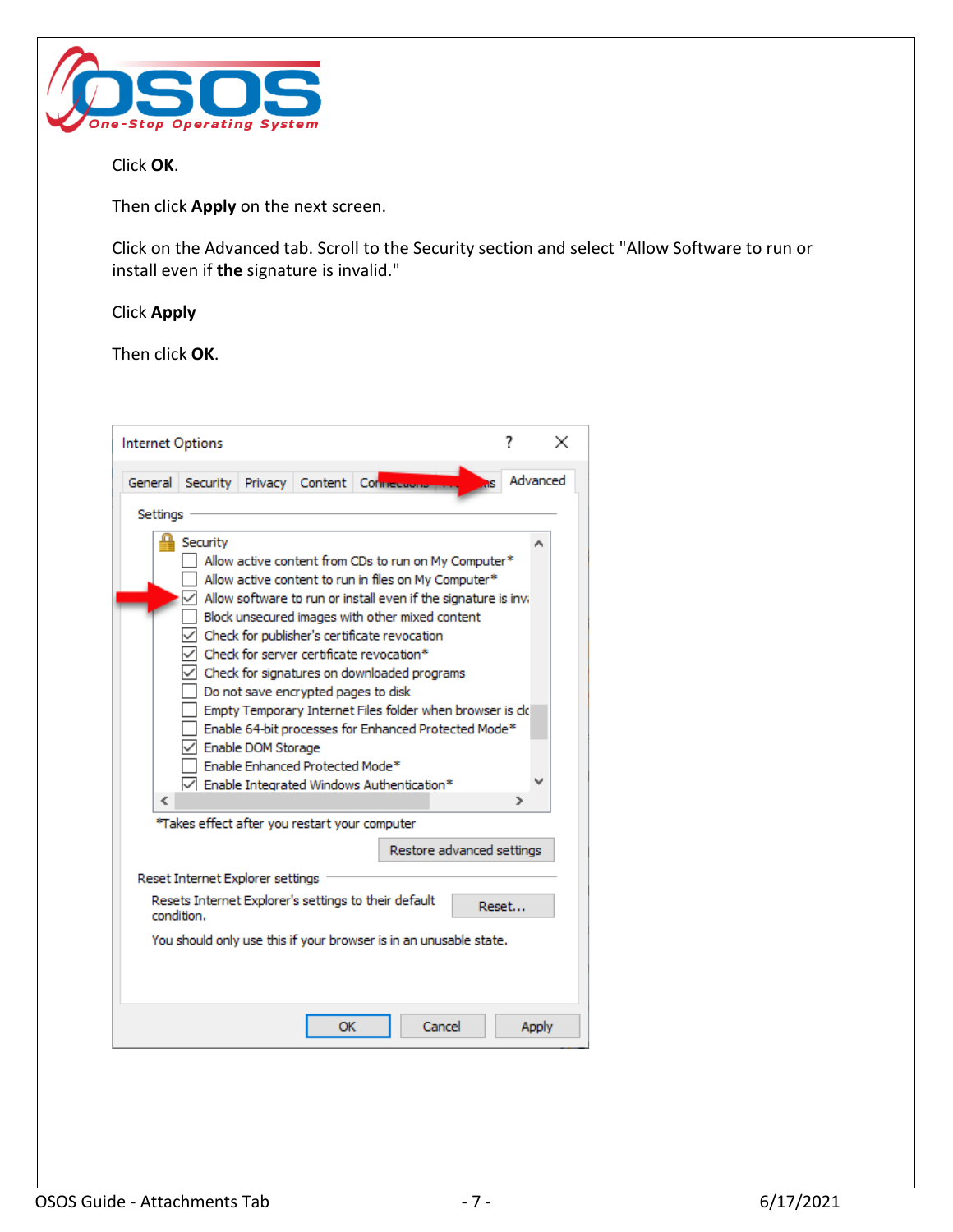

Click **OK**.

Then click **Apply** on the next screen.

Click on the Advanced tab. Scroll to the Security section and select "Allow Software to run or install even if **the** signature is invalid."

# Click **Apply**

Then click **OK**.

| Internet Options                                                                                                                                                                                                                                                                                                                                                                                                                                                                                                                                                                                                                                                                                                                       |       | x            |
|----------------------------------------------------------------------------------------------------------------------------------------------------------------------------------------------------------------------------------------------------------------------------------------------------------------------------------------------------------------------------------------------------------------------------------------------------------------------------------------------------------------------------------------------------------------------------------------------------------------------------------------------------------------------------------------------------------------------------------------|-------|--------------|
| Security Privacy Content Connection<br>General                                                                                                                                                                                                                                                                                                                                                                                                                                                                                                                                                                                                                                                                                         | 7S.   | Advanced     |
| Settings                                                                                                                                                                                                                                                                                                                                                                                                                                                                                                                                                                                                                                                                                                                               |       |              |
| Security<br>Allow active content from CDs to run on My Computer*<br>Allow active content to run in files on My Computer*<br>Allow software to run or install even if the signature is invi-<br>Block unsecured images with other mixed content<br>Check for publisher's certificate revocation<br>Check for server certificate revocation*<br>Check for signatures on downloaded programs<br>Do not save encrypted pages to disk<br>Empty Temporary Internet Files folder when browser is clo<br>Enable 64-bit processes for Enhanced Protected Mode*<br>Enable DOM Storage<br>Enable Enhanced Protected Mode*<br>$\sqrt{\phantom{a}}$ Enable Integrated Windows Authentication*<br>∢<br>*Takes effect after you restart your computer | ⋗     |              |
| Restore advanced settings                                                                                                                                                                                                                                                                                                                                                                                                                                                                                                                                                                                                                                                                                                              |       |              |
| Reset Internet Explorer settings                                                                                                                                                                                                                                                                                                                                                                                                                                                                                                                                                                                                                                                                                                       |       |              |
| Resets Internet Explorer's settings to their default<br>condition.                                                                                                                                                                                                                                                                                                                                                                                                                                                                                                                                                                                                                                                                     | Reset |              |
| You should only use this if your browser is in an unusable state.                                                                                                                                                                                                                                                                                                                                                                                                                                                                                                                                                                                                                                                                      |       |              |
| Cancel<br>OK                                                                                                                                                                                                                                                                                                                                                                                                                                                                                                                                                                                                                                                                                                                           |       | <b>Apply</b> |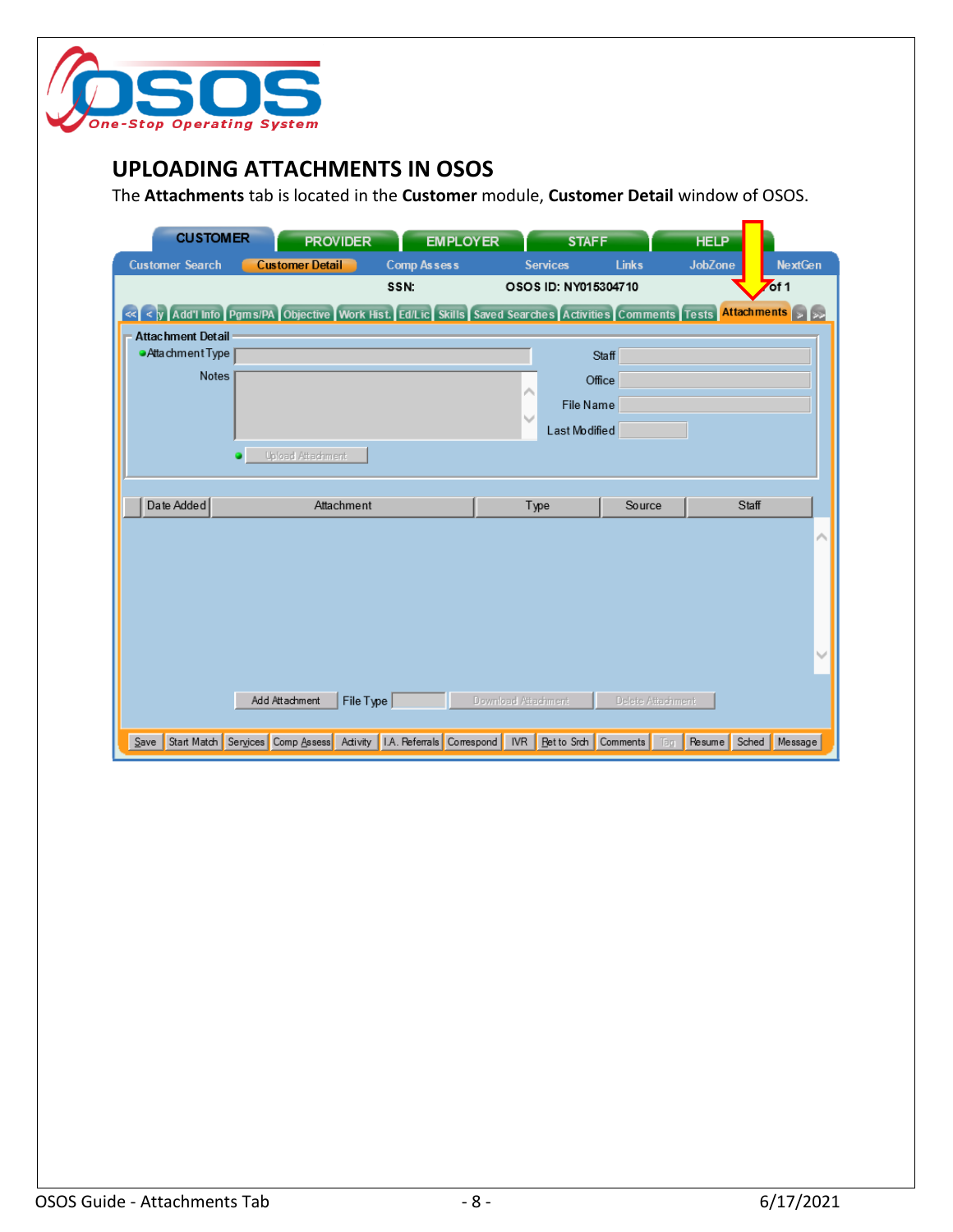

### <span id="page-8-0"></span>**UPLOADING ATTACHMENTS IN OSOS**

The **Attachments** tab is located in the **Customer** module, **Customer Detail** window of OSOS.

| <b>CUSTOMER</b>                                                                                                        |                          | <b>PROVIDER</b>      |                    | <b>EMPLOYER</b> |                     | <b>STAFF</b>         |                   | <b>HELP</b>    |       |                  |
|------------------------------------------------------------------------------------------------------------------------|--------------------------|----------------------|--------------------|-----------------|---------------------|----------------------|-------------------|----------------|-------|------------------|
| <b>Customer Search</b>                                                                                                 | <b>Customer Detail</b>   |                      | <b>Comp Assess</b> |                 |                     | <b>Services</b>      | <b>Links</b>      | <b>JobZone</b> |       | <b>NextGen</b>   |
|                                                                                                                        |                          |                      | SSN.               |                 |                     | OSOS ID: NY015304710 |                   |                |       | of 1             |
| « < y   Add'l Info   Pgms/PA   Objective   Work Hist. Ed/Lic   Skills   Saved Searches   Activities   Comments   Tests |                          |                      |                    |                 |                     |                      |                   |                |       | Attachments > >> |
| <b>Attachment Detail</b>                                                                                               |                          |                      |                    |                 |                     |                      |                   |                |       |                  |
| Attachment Type                                                                                                        |                          |                      |                    |                 |                     |                      | <b>Staff</b>      |                |       |                  |
| <b>Notes</b>                                                                                                           |                          |                      |                    |                 | ∧                   |                      | Office            |                |       |                  |
|                                                                                                                        |                          |                      |                    |                 |                     | File Name            |                   |                |       |                  |
|                                                                                                                        |                          |                      |                    |                 | $\checkmark$        | Last Modified        |                   |                |       |                  |
|                                                                                                                        | <b>Upload Attachment</b> |                      |                    |                 |                     |                      |                   |                |       |                  |
|                                                                                                                        |                          |                      |                    |                 |                     |                      |                   |                |       |                  |
| Date Added                                                                                                             |                          | Attachment           |                    |                 |                     | Type                 | Source            |                | Staff |                  |
|                                                                                                                        |                          |                      |                    |                 |                     |                      |                   |                |       |                  |
|                                                                                                                        |                          |                      |                    |                 |                     |                      |                   |                |       |                  |
|                                                                                                                        |                          |                      |                    |                 |                     |                      |                   |                |       |                  |
|                                                                                                                        |                          |                      |                    |                 |                     |                      |                   |                |       |                  |
|                                                                                                                        |                          |                      |                    |                 |                     |                      |                   |                |       |                  |
|                                                                                                                        |                          |                      |                    |                 |                     |                      |                   |                |       |                  |
|                                                                                                                        |                          |                      |                    |                 |                     |                      |                   |                |       |                  |
|                                                                                                                        | Add Attachment           |                      |                    |                 | Download Attachment |                      | Delete Attachment |                |       |                  |
|                                                                                                                        |                          | File Type $\sqrt{ }$ |                    |                 |                     |                      |                   |                |       |                  |
| Start Match Services Comp Assess Activity 1.A. Referrals Correspond NR Ret to Srch Comments Tag<br>$S$ ave             |                          |                      |                    |                 |                     |                      |                   |                |       |                  |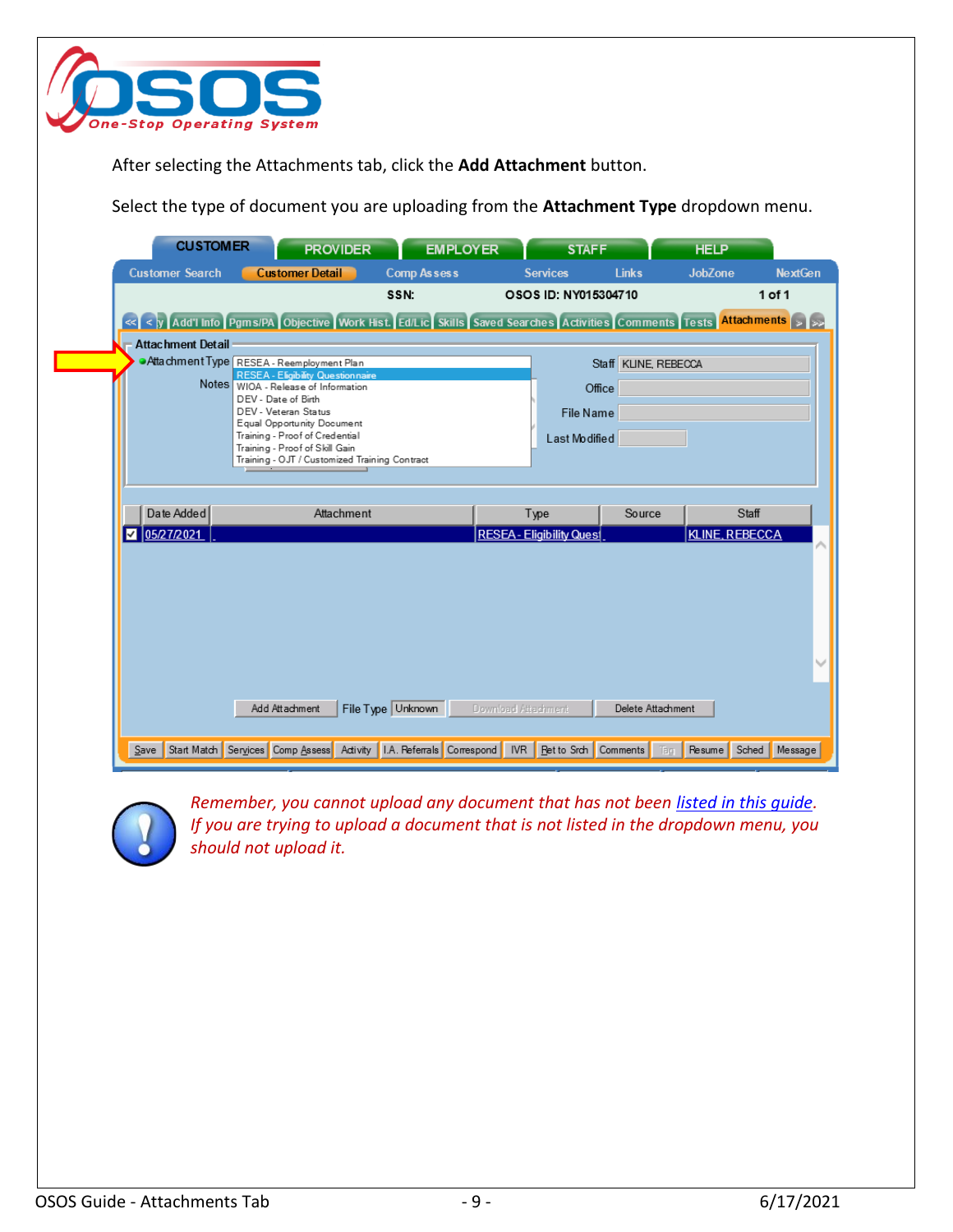

After selecting the Attachments tab, click the **Add Attachment** button.

Select the type of document you are uploading from the **Attachment Type** dropdown menu.

| <b>CUSTOMER</b>          | <b>PROVIDER</b>                                                                                                                                | <b>EMPLOYER</b>    |                            | <b>STAFF</b>                     |                      | <b>HELP</b>           |                |
|--------------------------|------------------------------------------------------------------------------------------------------------------------------------------------|--------------------|----------------------------|----------------------------------|----------------------|-----------------------|----------------|
| <b>Customer Search</b>   | <b>Customer Detail</b>                                                                                                                         | <b>Comp Assess</b> |                            | <b>Services</b>                  | <b>Links</b>         | <b>JobZone</b>        | <b>NextGen</b> |
|                          |                                                                                                                                                | SSN:               |                            | OSOS ID: NY015304710             |                      |                       | 1 of 1         |
|                          | << < y   Add'l Info   Pgms/PA   Objective   Work Hist.   Ed/Lic   Skills   Saved Searches   Activities   Comments   Tests   Attachments   > >> |                    |                            |                                  |                      |                       |                |
| <b>Attachment Detail</b> |                                                                                                                                                |                    |                            |                                  |                      |                       |                |
|                          |                                                                                                                                                |                    |                            |                                  |                      |                       |                |
|                          | Attachment Type RESEA - Reemployment Plan<br><b>RESEA - Eligibility Questionnaire</b>                                                          |                    |                            |                                  | Staff KLINE, REBECCA |                       |                |
|                          | Notes WIOA - Release of Information                                                                                                            |                    |                            | Office                           |                      |                       |                |
|                          | DEV - Date of Birth                                                                                                                            |                    |                            |                                  |                      |                       |                |
|                          | DEV - Veteran Status                                                                                                                           |                    |                            | File Name                        |                      |                       |                |
|                          | Equal Opportunity Document                                                                                                                     |                    |                            |                                  |                      |                       |                |
|                          | Training - Proof of Credential<br>Training - Proof of Skill Gain                                                                               |                    |                            | Last Modified                    |                      |                       |                |
|                          | Training - OJT / Customized Training Contract                                                                                                  |                    |                            |                                  |                      |                       |                |
|                          |                                                                                                                                                |                    |                            |                                  |                      |                       |                |
| Date Added               | Attachment                                                                                                                                     |                    | Type                       |                                  | Source               | Staff                 |                |
| 05/27/2021<br>M          |                                                                                                                                                |                    |                            | <b>RESEA - Eligibility Quest</b> |                      | <b>KLINE, REBECCA</b> |                |
|                          |                                                                                                                                                |                    |                            |                                  |                      |                       |                |
|                          |                                                                                                                                                |                    |                            |                                  |                      |                       |                |
|                          |                                                                                                                                                |                    |                            |                                  |                      |                       |                |
|                          |                                                                                                                                                |                    |                            |                                  |                      |                       |                |
|                          |                                                                                                                                                |                    |                            |                                  |                      |                       |                |
|                          |                                                                                                                                                |                    |                            |                                  |                      |                       |                |
|                          |                                                                                                                                                |                    |                            |                                  |                      |                       |                |
|                          |                                                                                                                                                |                    |                            |                                  |                      |                       |                |
|                          |                                                                                                                                                |                    |                            |                                  |                      |                       |                |
|                          |                                                                                                                                                |                    |                            |                                  |                      |                       |                |
|                          | Add Attachment                                                                                                                                 |                    | <b>Download Attachment</b> |                                  | Delete Attachment    |                       |                |
|                          |                                                                                                                                                | File Type Unknown  |                            |                                  |                      |                       |                |
|                          | Save Start Match Services Comp Assess Activity I.A. Referrals Correspond IVR Ret to Srch Comments                                              |                    |                            |                                  | Tag                  | Resume Sched Message  |                |



*Remember, you cannot upload any document that has not been [listed in this guide.](#page-2-0) If you are trying to upload a document that is not listed in the dropdown menu, you should not upload it.*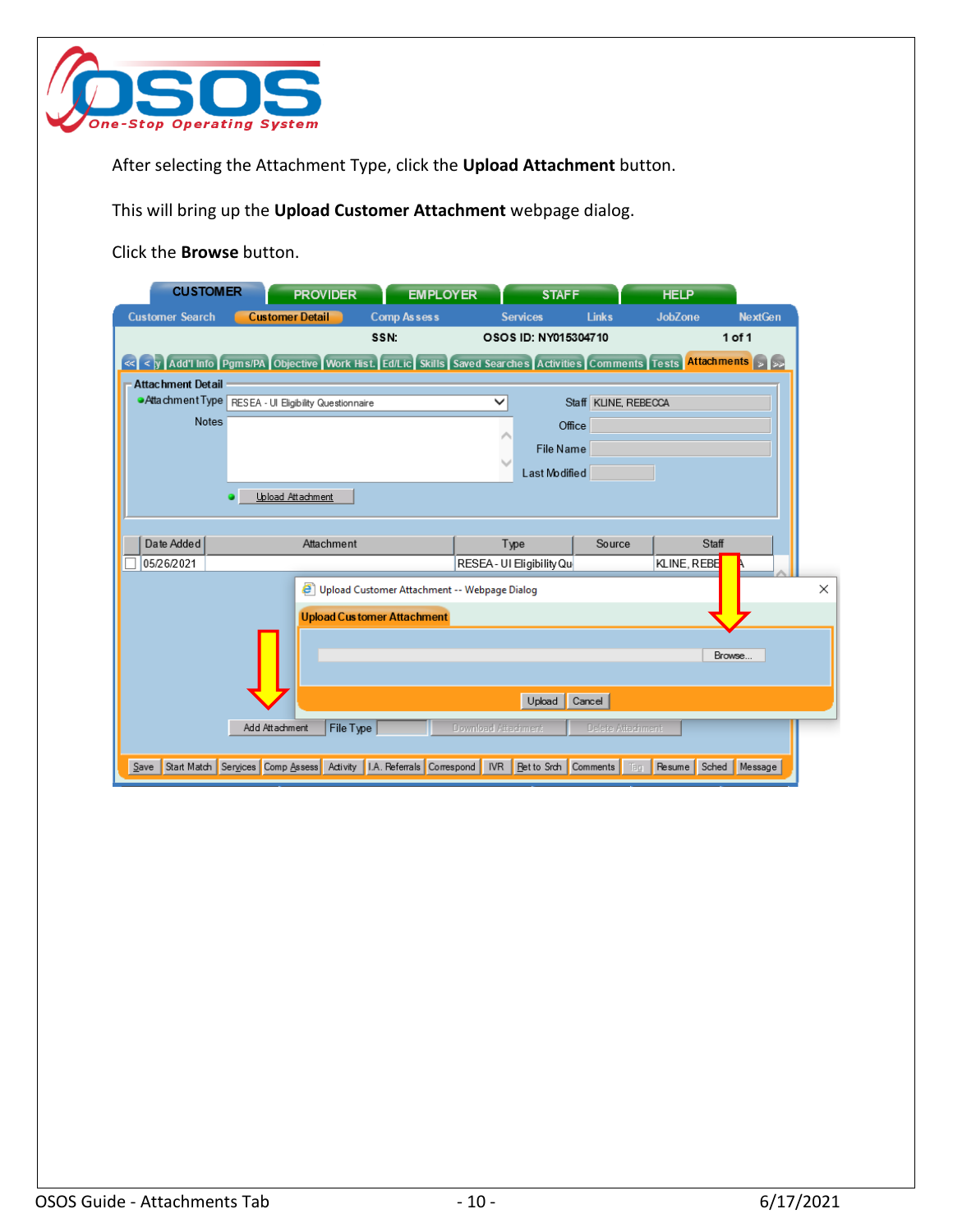

After selecting the Attachment Type, click the **Upload Attachment** button.

This will bring up the **Upload Customer Attachment** webpage dialog.

Click the **Browse** button.

| <b>CUSTOMER</b>          |                                                       | <b>PROVIDER</b>   | <b>EMPLOYER</b>                                                                                                                              |                     | <b>STAFF</b>                 |                      | <b>HELP</b>     |                |
|--------------------------|-------------------------------------------------------|-------------------|----------------------------------------------------------------------------------------------------------------------------------------------|---------------------|------------------------------|----------------------|-----------------|----------------|
| <b>Customer Search</b>   | <b>Customer Detail</b>                                |                   | <b>Comp Assess</b>                                                                                                                           |                     | <b>Services</b>              | <b>Links</b>         | <b>JobZone</b>  | <b>NextGen</b> |
|                          |                                                       |                   | SSN:                                                                                                                                         |                     | OSOS ID: NY015304710         |                      |                 | 1 of 1         |
|                          |                                                       |                   | << < y   Add'l Info   Pgms/PA   Objective   Work Hist.   Ed/Lic   Skills   Saved Searches   Activities   Comments   Tests   Attachments   >> |                     |                              |                      |                 |                |
| <b>Attachment Detail</b> |                                                       |                   |                                                                                                                                              |                     |                              |                      |                 |                |
|                          | Atta chment Type RESEA - Ul Eligibility Questionnaire |                   |                                                                                                                                              | $\check{ }$         |                              | Staff KLINE, REBECCA |                 |                |
| <b>Notes</b>             |                                                       |                   |                                                                                                                                              |                     | Office                       |                      |                 |                |
|                          |                                                       |                   |                                                                                                                                              |                     | File Name                    |                      |                 |                |
|                          |                                                       |                   |                                                                                                                                              | r                   | Last Modified                |                      |                 |                |
|                          |                                                       | Upload Attachment |                                                                                                                                              |                     |                              |                      |                 |                |
|                          |                                                       |                   |                                                                                                                                              |                     |                              |                      |                 |                |
| Date Added               |                                                       | Attachment        |                                                                                                                                              | Type                |                              | Source               | Staff           |                |
| 05/26/2021               |                                                       |                   |                                                                                                                                              |                     | RESEA - UI Eligibility Qu    |                      | KLINE, REBE     |                |
|                          |                                                       |                   | Upload Customer Attachment -- Webpage Dialog                                                                                                 |                     |                              |                      |                 |                |
|                          |                                                       |                   |                                                                                                                                              |                     |                              |                      |                 |                |
|                          |                                                       |                   | <b>Upload Customer Attachment</b>                                                                                                            |                     |                              |                      |                 |                |
|                          |                                                       |                   |                                                                                                                                              |                     |                              |                      |                 | Browse         |
|                          |                                                       |                   |                                                                                                                                              |                     |                              |                      |                 |                |
|                          |                                                       |                   |                                                                                                                                              |                     |                              |                      |                 |                |
|                          |                                                       |                   |                                                                                                                                              |                     | Upload                       | Cancel               |                 |                |
|                          | Add Attachment                                        | File Type         |                                                                                                                                              | Download Attachment |                              | Delete Attachment    |                 |                |
|                          |                                                       |                   |                                                                                                                                              |                     |                              |                      |                 |                |
| Save                     |                                                       |                   | Start Match Services Comp Assess Activity 1.A. Referrals Correspond                                                                          |                     | IVR   Ret to Srch   Comments | Tag                  | Sched<br>Resume | Message        |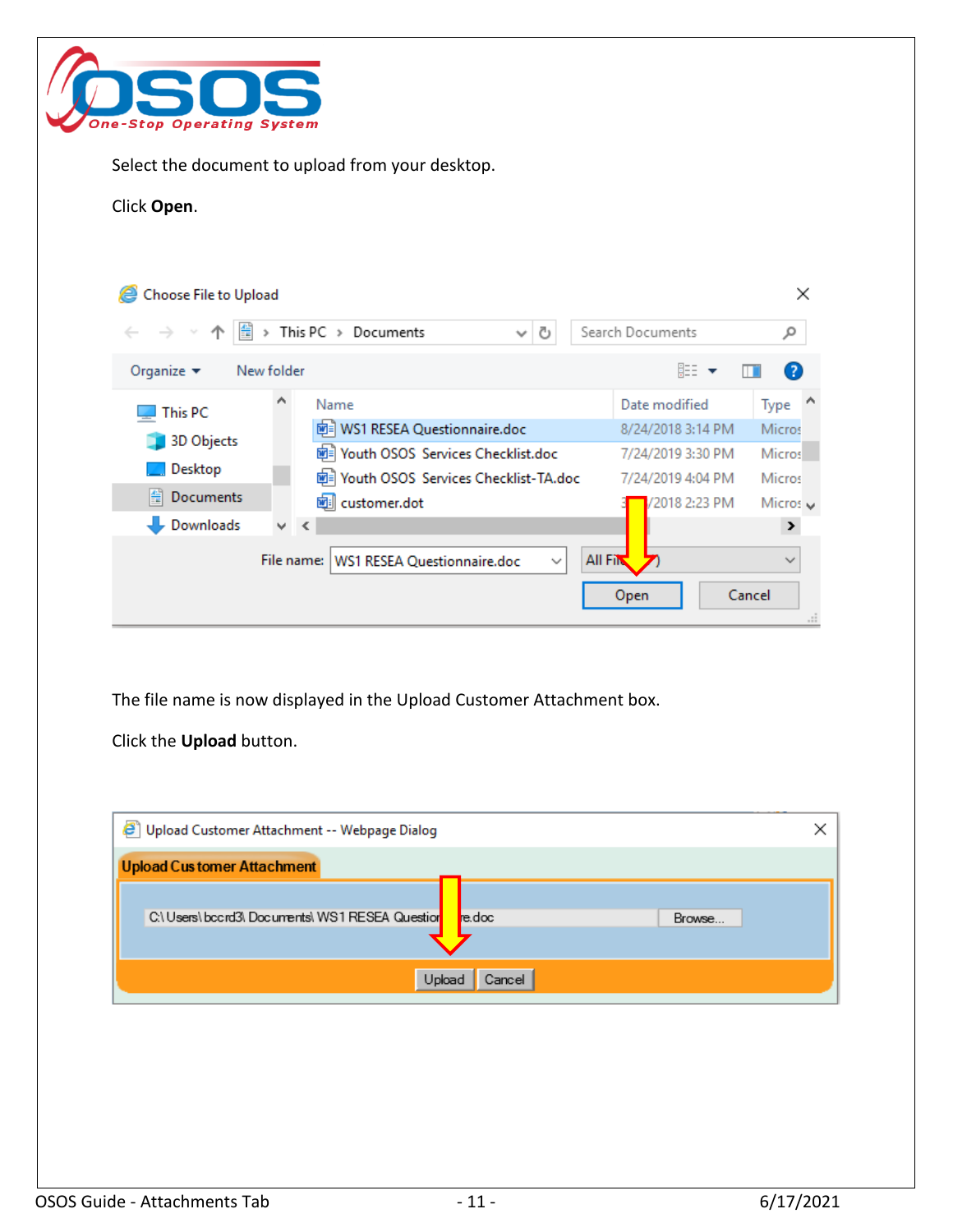

Select the document to upload from your desktop.

#### Click **Open**.

| Choose File to Upload                  |            |                                                                                     |                   | $\times$       |
|----------------------------------------|------------|-------------------------------------------------------------------------------------|-------------------|----------------|
| $\leftarrow$ $\rightarrow$ $\sim$<br>麠 |            | This PC > Documents<br>Ō<br>$\checkmark$                                            | Search Documents  | م              |
| Organize $\blacktriangleright$         | New folder |                                                                                     | 胆 ▼               | $\bullet$      |
| This PC                                | ́          | Name                                                                                | Date modified     | Type           |
| 3D Objects                             |            | <mark>咖</mark> WS1 RESEA Questionnaire.doc                                          | 8/24/2018 3:14 PM | Micros         |
|                                        |            | Hall Youth OSOS Services Checklist.doc                                              | 7/24/2019 3:30 PM | <b>Micros</b>  |
| Desktop                                |            | Hell Youth OSOS Services Checklist-TA.doc                                           | 7/24/2019 4:04 PM | <b>Micros</b>  |
| 睾<br>Documents                         |            | 画 customer.dot                                                                      | 2018 2:23 PM      | Micros $\vee$  |
| Downloads                              | v.         | $\prec$                                                                             |                   | $\rightarrow$  |
|                                        |            | <b>All File</b><br><b>WS1 RESEA Questionnaire.doc</b><br>File name:<br>$\checkmark$ |                   | $\checkmark$   |
|                                        |            |                                                                                     | Open              | Cancel<br>$-1$ |

The file name is now displayed in the Upload Customer Attachment box.

Click the **Upload** button.

| e<br>Upload Customer Attachment -- Webpage Dialog          |        |  |  |  |  |  |  |  |  |
|------------------------------------------------------------|--------|--|--|--|--|--|--|--|--|
| <b>Upload Customer Attachment</b>                          |        |  |  |  |  |  |  |  |  |
|                                                            |        |  |  |  |  |  |  |  |  |
| C:\ Users\ bccrd3\ Documents\ WS1 RESEA Question<br>re.doc | Browse |  |  |  |  |  |  |  |  |
|                                                            |        |  |  |  |  |  |  |  |  |
| Upload<br>Cancel                                           |        |  |  |  |  |  |  |  |  |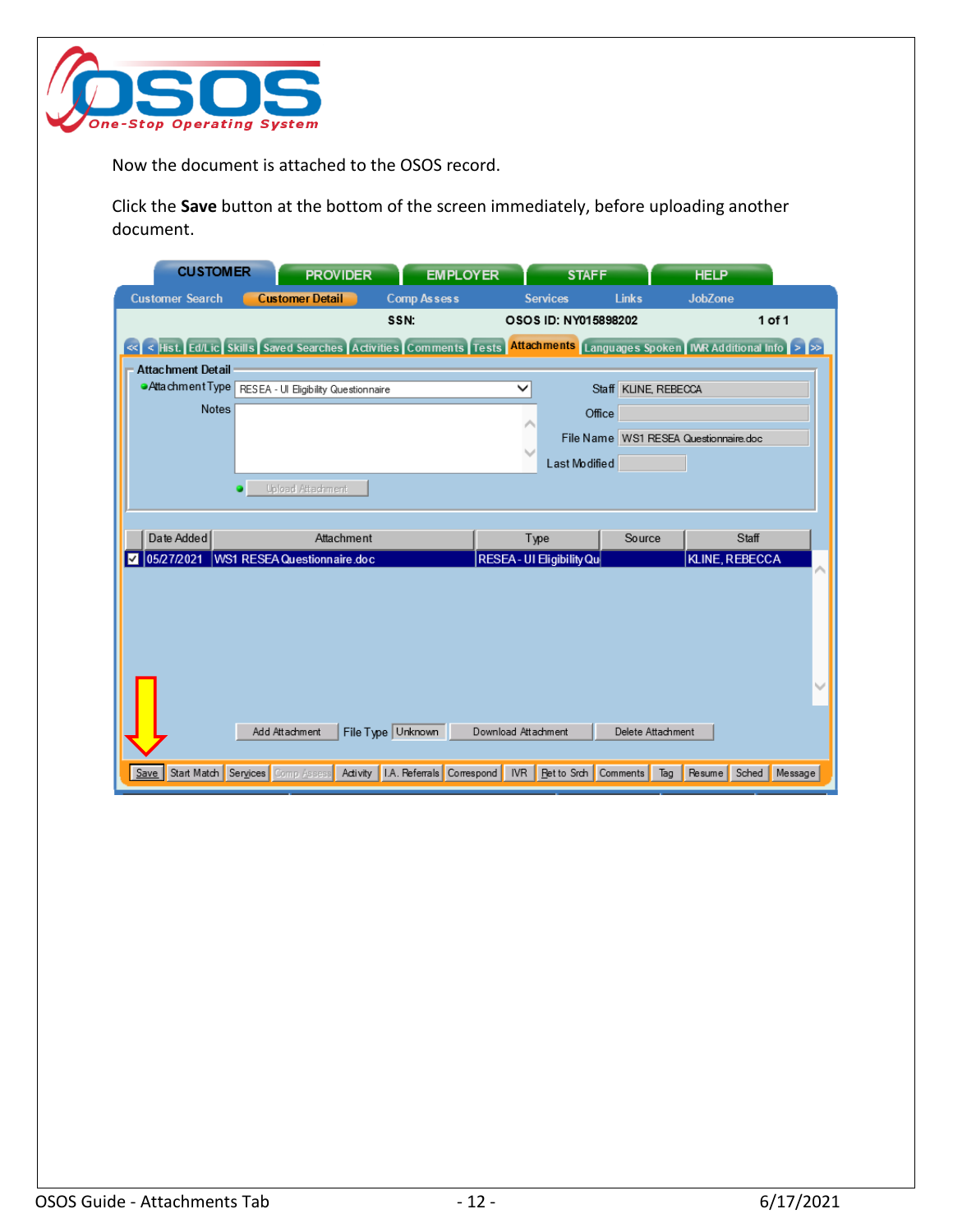

Now the document is attached to the OSOS record.

Click the **Save** button at the bottom of the screen immediately, before uploading another document.

| <b>CUSTOMER</b>                                                                                                         |                                  | <b>PROVIDER</b>             | <b>EMPLOYER</b>                        |                           | <b>STAFF</b>         |                      | <b>HELP</b>                           |         |
|-------------------------------------------------------------------------------------------------------------------------|----------------------------------|-----------------------------|----------------------------------------|---------------------------|----------------------|----------------------|---------------------------------------|---------|
| <b>Customer Search</b>                                                                                                  |                                  | <b>Customer Detail</b>      | Comp Assess                            | <b>Services</b>           |                      | <b>Links</b>         | <b>JobZone</b>                        |         |
|                                                                                                                         |                                  |                             | SSN:                                   |                           | OSOS ID: NY015898202 |                      |                                       | 1 of 1  |
| << < Hist. Ed/Lic Skills Saved Searches Activities Comments Tests Attachments [Languages Spoken MR Additional Info > >> |                                  |                             |                                        |                           |                      |                      |                                       |         |
| <b>Attachment Detail</b>                                                                                                |                                  |                             |                                        |                           |                      |                      |                                       |         |
| Atta chment Type RESEA - Ul Eligibility Questionnaire                                                                   |                                  |                             |                                        | ✓                         |                      | Staff KLINE, REBECCA |                                       |         |
| <b>Notes</b>                                                                                                            |                                  |                             |                                        |                           | Office               |                      |                                       |         |
|                                                                                                                         |                                  |                             |                                        |                           |                      |                      | File Name WS1 RESEA Questionnaire.doc |         |
|                                                                                                                         |                                  |                             |                                        |                           | Last Modified        |                      |                                       |         |
|                                                                                                                         |                                  | <b>Upload Attachment</b>    |                                        |                           |                      |                      |                                       |         |
|                                                                                                                         |                                  |                             |                                        |                           |                      |                      |                                       |         |
|                                                                                                                         |                                  |                             |                                        |                           |                      |                      |                                       |         |
| Date Added                                                                                                              |                                  | Attachment                  |                                        | Type                      |                      | Source               | Staff                                 |         |
| 05/27/2021<br>₩                                                                                                         |                                  | WS1 RESEA Questionnaire.doc |                                        | RESEA - UI Eligibility Qu |                      |                      | KLINE, REBECCA                        |         |
|                                                                                                                         |                                  |                             |                                        |                           |                      |                      |                                       |         |
|                                                                                                                         |                                  |                             |                                        |                           |                      |                      |                                       |         |
|                                                                                                                         |                                  |                             |                                        |                           |                      |                      |                                       |         |
|                                                                                                                         |                                  |                             |                                        |                           |                      |                      |                                       |         |
|                                                                                                                         |                                  |                             |                                        |                           |                      |                      |                                       |         |
|                                                                                                                         |                                  |                             |                                        |                           |                      |                      |                                       |         |
|                                                                                                                         | Add Attachment                   |                             | File Type Unknown                      | Download Attachment       |                      | Delete Attachment    |                                       |         |
|                                                                                                                         | Start Match Services Comp Assess |                             | Activity   I.A. Referrals   Correspond |                           | IVR   Ret to Srch    | Comments<br>Tag      | Resume Sched                          | Message |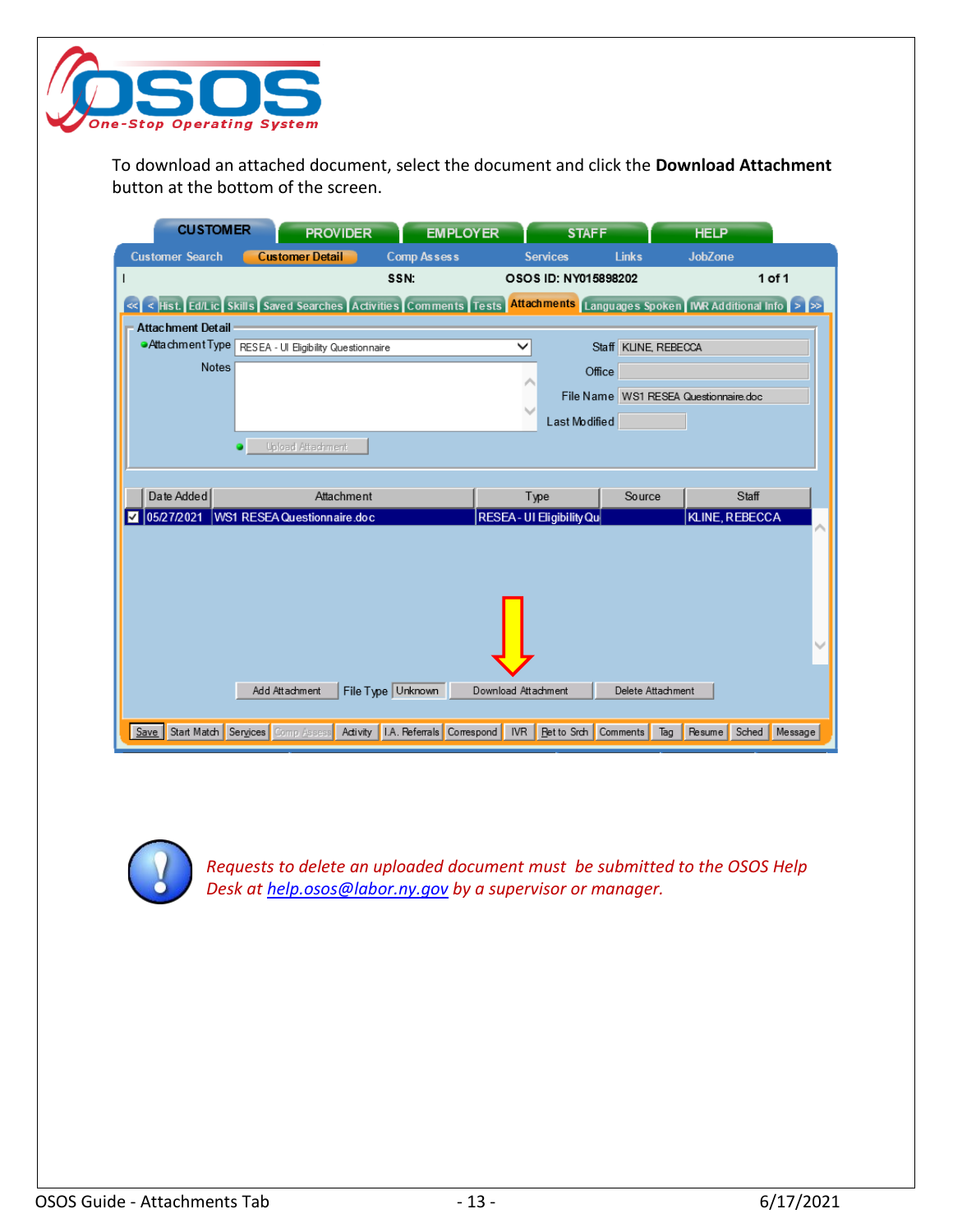

To download an attached document, select the document and click the **Download Attachment** button at the bottom of the screen.

| <b>CUSTOMER</b>                                                                                                             |                                  | <b>PROVIDER</b>             | <b>EMPLOYER</b>                        |                           | <b>STAFF</b>                 |                      | <b>HELP</b>                           |         |
|-----------------------------------------------------------------------------------------------------------------------------|----------------------------------|-----------------------------|----------------------------------------|---------------------------|------------------------------|----------------------|---------------------------------------|---------|
| <b>Customer Search</b>                                                                                                      | <b>Customer Detail</b>           |                             | <b>Comp Assess</b>                     |                           | <b>Services</b>              | <b>Links</b>         | <b>JobZone</b>                        |         |
|                                                                                                                             |                                  |                             | SSN:                                   |                           | OSOS ID: NY015898202         |                      |                                       | 1 of 1  |
| « <   <   Hist. Ed/Lic Skills Saved Searches Activities Comments Tests Attachments Languages Spoken MR Additional Info > >> |                                  |                             |                                        |                           |                              |                      |                                       |         |
| <b>Attachment Detail</b>                                                                                                    |                                  |                             |                                        |                           |                              |                      |                                       |         |
| Atta chment Type RESEA - Ul Eligibility Questionnaire                                                                       |                                  |                             |                                        | ✓                         |                              | Staff KLINE, REBECCA |                                       |         |
| <b>Notes</b>                                                                                                                |                                  |                             |                                        |                           | Office                       |                      |                                       |         |
|                                                                                                                             |                                  |                             |                                        |                           |                              |                      | File Name WS1 RESEA Questionnaire.doc |         |
|                                                                                                                             |                                  |                             |                                        |                           | Last Modified                |                      |                                       |         |
|                                                                                                                             |                                  | <b>Upload Attachment</b>    |                                        |                           |                              |                      |                                       |         |
|                                                                                                                             |                                  |                             |                                        |                           |                              |                      |                                       |         |
| Date Added                                                                                                                  |                                  | Attachment                  |                                        | Type                      |                              | Source               | Staff                                 |         |
| 05/27/2021                                                                                                                  |                                  | WS1 RESEA Questionnaire.doc |                                        | RESEA - UI Eligibility Qu |                              |                      | KLINE, REBECCA                        |         |
|                                                                                                                             |                                  |                             |                                        |                           |                              |                      |                                       |         |
|                                                                                                                             |                                  |                             |                                        |                           |                              |                      |                                       |         |
|                                                                                                                             |                                  |                             |                                        |                           |                              |                      |                                       |         |
|                                                                                                                             |                                  |                             |                                        |                           |                              |                      |                                       |         |
|                                                                                                                             |                                  |                             |                                        |                           |                              |                      |                                       |         |
|                                                                                                                             |                                  |                             |                                        |                           |                              |                      |                                       |         |
|                                                                                                                             | Add Attachment                   |                             | File Type Unknown                      | Download Attachment       |                              | Delete Attachment    |                                       |         |
|                                                                                                                             |                                  |                             |                                        |                           |                              |                      |                                       |         |
| Save                                                                                                                        | Start Match Services Comp Assess |                             | Activity   I.A. Referrals   Correspond |                           | IVR   Ret to Srch   Comments | Tag                  | Sched<br>Resume <sup>[</sup>          | Message |



*Requests to delete an uploaded document must be submitted to the OSOS Help Desk at [help.osos@labor.ny.gov](mailto:help.osos@labor.ny.gov) by a supervisor or manager.*